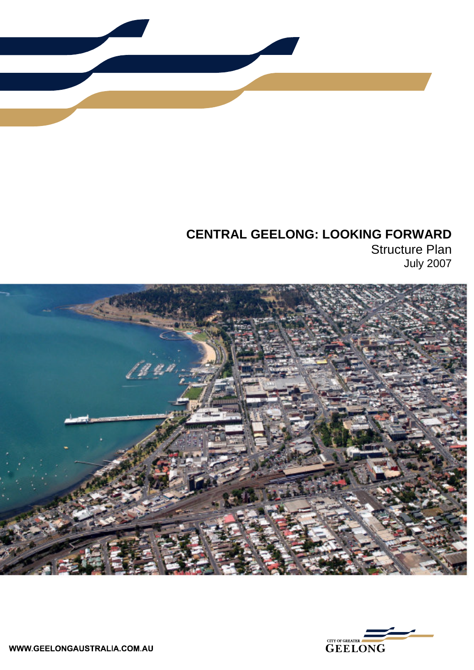

# **CENTRAL GEELONG: LOOKING FORWARD**

Structure Plan July 2007



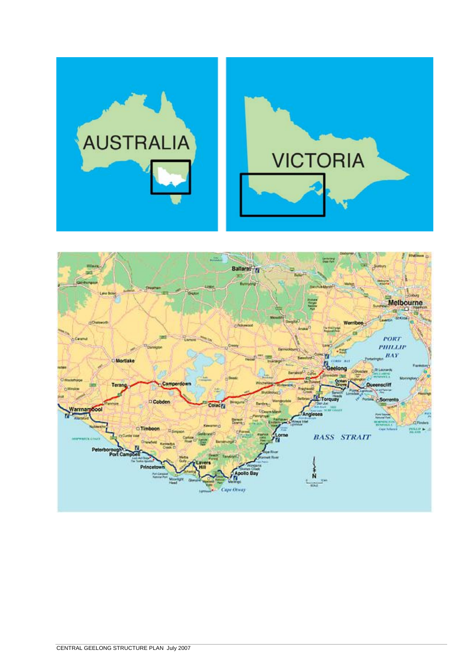



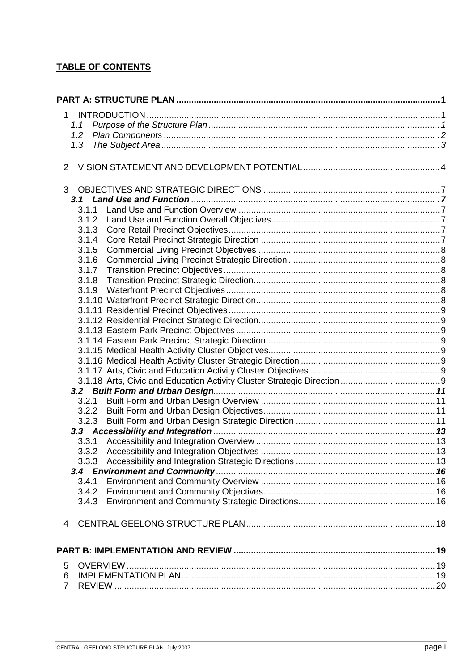## **TABLE OF CONTENTS**

| $\mathbf 1$    |       |  |  |  |  |  |
|----------------|-------|--|--|--|--|--|
|                |       |  |  |  |  |  |
|                | 1.2   |  |  |  |  |  |
|                | 1.3   |  |  |  |  |  |
|                |       |  |  |  |  |  |
| $\overline{2}$ |       |  |  |  |  |  |
| 3              |       |  |  |  |  |  |
|                |       |  |  |  |  |  |
|                | 3.1.1 |  |  |  |  |  |
|                |       |  |  |  |  |  |
|                | 3.1.3 |  |  |  |  |  |
|                | 3.1.4 |  |  |  |  |  |
|                | 3.1.5 |  |  |  |  |  |
|                | 3.1.6 |  |  |  |  |  |
|                | 3.1.7 |  |  |  |  |  |
|                | 3.1.8 |  |  |  |  |  |
|                | 3.1.9 |  |  |  |  |  |
|                |       |  |  |  |  |  |
|                |       |  |  |  |  |  |
|                |       |  |  |  |  |  |
|                |       |  |  |  |  |  |
|                |       |  |  |  |  |  |
|                |       |  |  |  |  |  |
|                |       |  |  |  |  |  |
|                |       |  |  |  |  |  |
|                |       |  |  |  |  |  |
|                |       |  |  |  |  |  |
|                |       |  |  |  |  |  |
|                |       |  |  |  |  |  |
|                |       |  |  |  |  |  |
|                |       |  |  |  |  |  |
|                |       |  |  |  |  |  |
|                |       |  |  |  |  |  |
|                | 3.3.3 |  |  |  |  |  |
|                |       |  |  |  |  |  |
|                | 3.4.1 |  |  |  |  |  |
|                | 3.4.2 |  |  |  |  |  |
|                |       |  |  |  |  |  |
| 4              |       |  |  |  |  |  |
|                |       |  |  |  |  |  |
| 5              |       |  |  |  |  |  |
| 6              |       |  |  |  |  |  |
| $\overline{7}$ |       |  |  |  |  |  |
|                |       |  |  |  |  |  |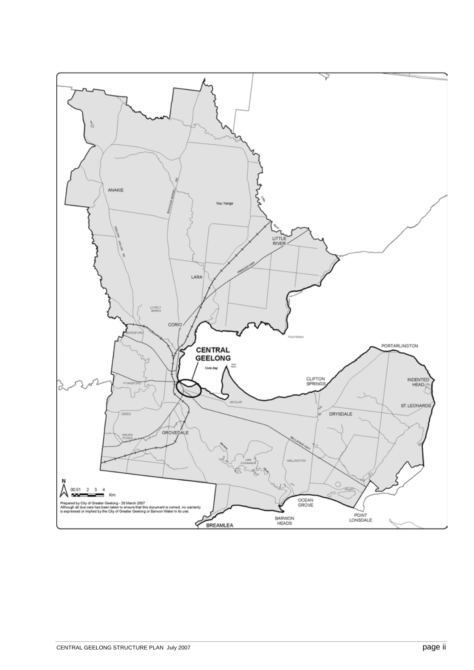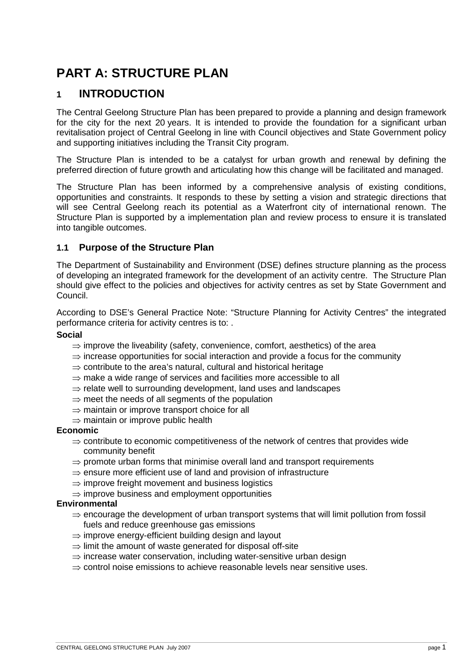# **PART A: STRUCTURE PLAN**

## **1 INTRODUCTION**

The Central Geelong Structure Plan has been prepared to provide a planning and design framework for the city for the next 20 years. It is intended to provide the foundation for a significant urban revitalisation project of Central Geelong in line with Council objectives and State Government policy and supporting initiatives including the Transit City program.

The Structure Plan is intended to be a catalyst for urban growth and renewal by defining the preferred direction of future growth and articulating how this change will be facilitated and managed.

The Structure Plan has been informed by a comprehensive analysis of existing conditions, opportunities and constraints. It responds to these by setting a vision and strategic directions that will see Central Geelong reach its potential as a Waterfront city of international renown. The Structure Plan is supported by a implementation plan and review process to ensure it is translated into tangible outcomes.

## **1.1 Purpose of the Structure Plan**

The Department of Sustainability and Environment (DSE) defines structure planning as the process of developing an integrated framework for the development of an activity centre. The Structure Plan should give effect to the policies and objectives for activity centres as set by State Government and Council.

According to DSE's General Practice Note: "Structure Planning for Activity Centres" the integrated performance criteria for activity centres is to: .

#### **Social**

- $\Rightarrow$  improve the liveability (safety, convenience, comfort, aesthetics) of the area
- $\Rightarrow$  increase opportunities for social interaction and provide a focus for the community
- $\Rightarrow$  contribute to the area's natural, cultural and historical heritage
- $\Rightarrow$  make a wide range of services and facilities more accessible to all
- $\Rightarrow$  relate well to surrounding development. land uses and landscapes
- $\Rightarrow$  meet the needs of all segments of the population
- $\Rightarrow$  maintain or improve transport choice for all
- $\Rightarrow$  maintain or improve public health

#### **Economic**

- $\Rightarrow$  contribute to economic competitiveness of the network of centres that provides wide community benefit
- $\Rightarrow$  promote urban forms that minimise overall land and transport requirements
- $\Rightarrow$  ensure more efficient use of land and provision of infrastructure
- $\Rightarrow$  improve freight movement and business logistics
- $\Rightarrow$  improve business and employment opportunities

#### **Environmental**

- $\Rightarrow$  encourage the development of urban transport systems that will limit pollution from fossil fuels and reduce greenhouse gas emissions
- $\Rightarrow$  improve energy-efficient building design and layout
- $\Rightarrow$  limit the amount of waste generated for disposal off-site
- $\Rightarrow$  increase water conservation, including water-sensitive urban design
- $\Rightarrow$  control noise emissions to achieve reasonable levels near sensitive uses.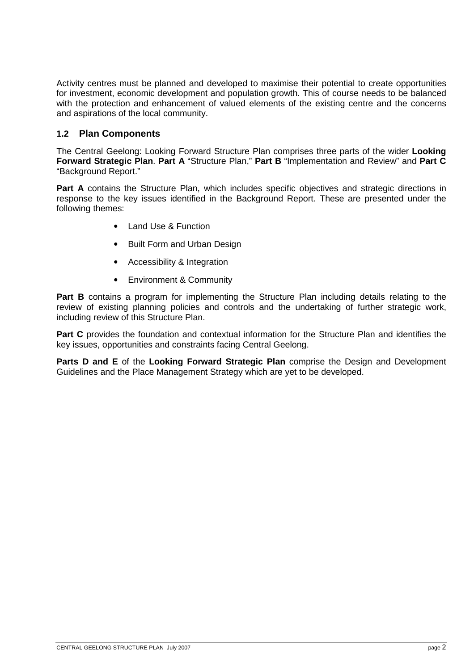Activity centres must be planned and developed to maximise their potential to create opportunities for investment, economic development and population growth. This of course needs to be balanced with the protection and enhancement of valued elements of the existing centre and the concerns and aspirations of the local community.

## **1.2 Plan Components**

The Central Geelong: Looking Forward Structure Plan comprises three parts of the wider **Looking Forward Strategic Plan**. **Part A** "Structure Plan," **Part B** "Implementation and Review" and **Part C** "Background Report."

**Part A** contains the Structure Plan, which includes specific objectives and strategic directions in response to the key issues identified in the Background Report. These are presented under the following themes:

- Land Use & Function
- Built Form and Urban Design
- Accessibility & Integration
- Environment & Community

**Part B** contains a program for implementing the Structure Plan including details relating to the review of existing planning policies and controls and the undertaking of further strategic work, including review of this Structure Plan.

**Part C** provides the foundation and contextual information for the Structure Plan and identifies the key issues, opportunities and constraints facing Central Geelong.

**Parts D and E** of the **Looking Forward Strategic Plan** comprise the Design and Development Guidelines and the Place Management Strategy which are yet to be developed.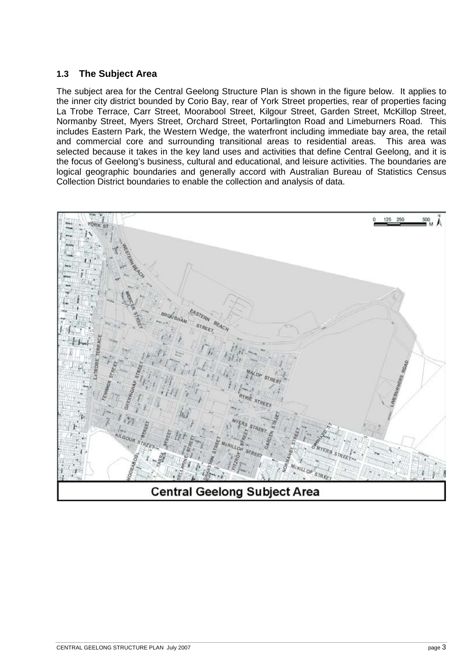## **1.3 The Subject Area**

The subject area for the Central Geelong Structure Plan is shown in the figure below. It applies to the inner city district bounded by Corio Bay, rear of York Street properties, rear of properties facing La Trobe Terrace, Carr Street, Moorabool Street, Kilgour Street, Garden Street, McKillop Street, Normanby Street, Myers Street, Orchard Street, Portarlington Road and Limeburners Road. This includes Eastern Park, the Western Wedge, the waterfront including immediate bay area, the retail and commercial core and surrounding transitional areas to residential areas. This area was selected because it takes in the key land uses and activities that define Central Geelong, and it is the focus of Geelong's business, cultural and educational, and leisure activities. The boundaries are logical geographic boundaries and generally accord with Australian Bureau of Statistics Census Collection District boundaries to enable the collection and analysis of data.

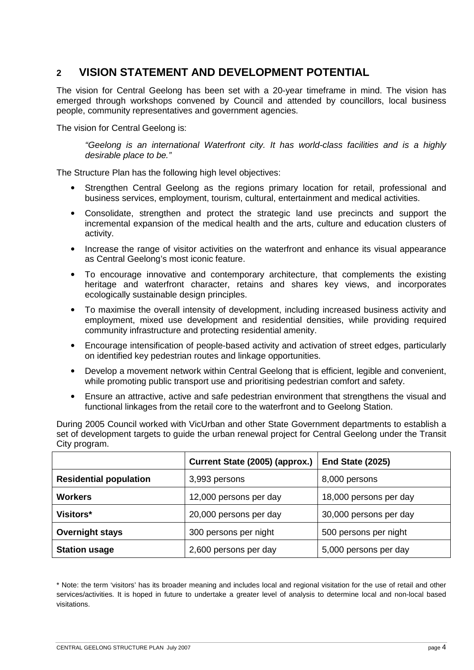## **2 VISION STATEMENT AND DEVELOPMENT POTENTIAL**

The vision for Central Geelong has been set with a 20-year timeframe in mind. The vision has emerged through workshops convened by Council and attended by councillors, local business people, community representatives and government agencies.

The vision for Central Geelong is:

*"Geelong is an international Waterfront city. It has world-class facilities and is a highly desirable place to be."* 

The Structure Plan has the following high level objectives:

- Strengthen Central Geelong as the regions primary location for retail, professional and business services, employment, tourism, cultural, entertainment and medical activities.
- Consolidate, strengthen and protect the strategic land use precincts and support the incremental expansion of the medical health and the arts, culture and education clusters of activity.
- Increase the range of visitor activities on the waterfront and enhance its visual appearance as Central Geelong's most iconic feature.
- To encourage innovative and contemporary architecture, that complements the existing heritage and waterfront character, retains and shares key views, and incorporates ecologically sustainable design principles.
- To maximise the overall intensity of development, including increased business activity and employment, mixed use development and residential densities, while providing required community infrastructure and protecting residential amenity.
- Encourage intensification of people-based activity and activation of street edges, particularly on identified key pedestrian routes and linkage opportunities.
- Develop a movement network within Central Geelong that is efficient, legible and convenient, while promoting public transport use and prioritising pedestrian comfort and safety.
- Ensure an attractive, active and safe pedestrian environment that strengthens the visual and functional linkages from the retail core to the waterfront and to Geelong Station.

During 2005 Council worked with VicUrban and other State Government departments to establish a set of development targets to guide the urban renewal project for Central Geelong under the Transit City program.

|                               | Current State (2005) (approx.) | <b>End State (2025)</b> |
|-------------------------------|--------------------------------|-------------------------|
| <b>Residential population</b> | 3,993 persons                  | 8,000 persons           |
| <b>Workers</b>                | 12,000 persons per day         | 18,000 persons per day  |
| Visitors*                     | 20,000 persons per day         | 30,000 persons per day  |
| <b>Overnight stays</b>        | 300 persons per night          | 500 persons per night   |
| <b>Station usage</b>          | 2,600 persons per day          | 5,000 persons per day   |

<sup>\*</sup> Note: the term 'visitors' has its broader meaning and includes local and regional visitation for the use of retail and other services/activities. It is hoped in future to undertake a greater level of analysis to determine local and non-local based visitations.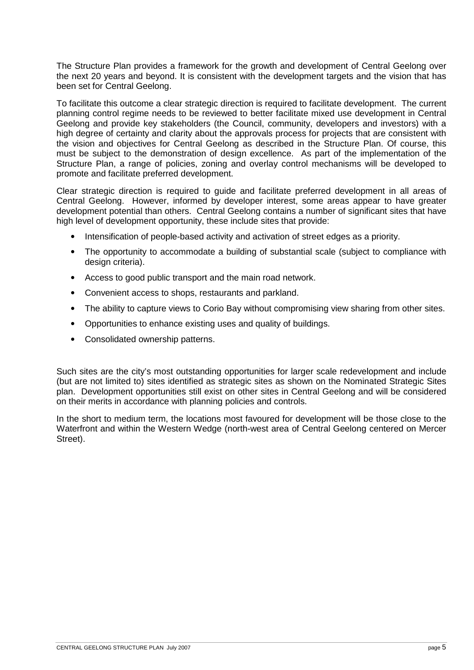The Structure Plan provides a framework for the growth and development of Central Geelong over the next 20 years and beyond. It is consistent with the development targets and the vision that has been set for Central Geelong.

To facilitate this outcome a clear strategic direction is required to facilitate development. The current planning control regime needs to be reviewed to better facilitate mixed use development in Central Geelong and provide key stakeholders (the Council, community, developers and investors) with a high degree of certainty and clarity about the approvals process for projects that are consistent with the vision and objectives for Central Geelong as described in the Structure Plan. Of course, this must be subject to the demonstration of design excellence. As part of the implementation of the Structure Plan, a range of policies, zoning and overlay control mechanisms will be developed to promote and facilitate preferred development.

Clear strategic direction is required to guide and facilitate preferred development in all areas of Central Geelong. However, informed by developer interest, some areas appear to have greater development potential than others. Central Geelong contains a number of significant sites that have high level of development opportunity, these include sites that provide:

- Intensification of people-based activity and activation of street edges as a priority.
- The opportunity to accommodate a building of substantial scale (subject to compliance with design criteria).
- Access to good public transport and the main road network.
- Convenient access to shops, restaurants and parkland.
- The ability to capture views to Corio Bay without compromising view sharing from other sites.
- Opportunities to enhance existing uses and quality of buildings.
- Consolidated ownership patterns.

Such sites are the city's most outstanding opportunities for larger scale redevelopment and include (but are not limited to) sites identified as strategic sites as shown on the Nominated Strategic Sites plan. Development opportunities still exist on other sites in Central Geelong and will be considered on their merits in accordance with planning policies and controls.

In the short to medium term, the locations most favoured for development will be those close to the Waterfront and within the Western Wedge (north-west area of Central Geelong centered on Mercer Street).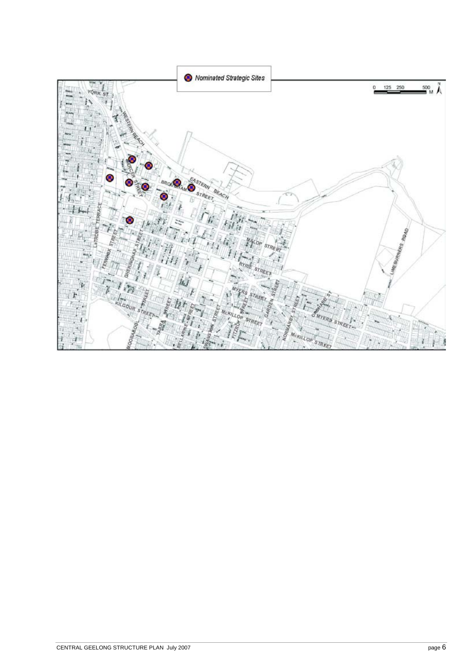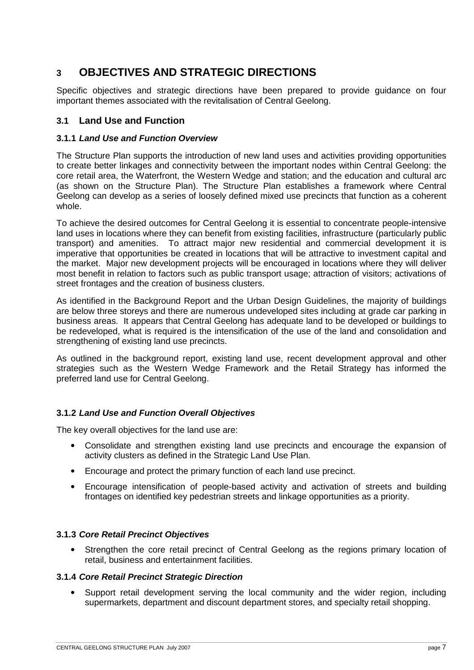## **3 OBJECTIVES AND STRATEGIC DIRECTIONS**

Specific objectives and strategic directions have been prepared to provide guidance on four important themes associated with the revitalisation of Central Geelong.

## **3.1 Land Use and Function**

#### **3.1.1** *Land Use and Function Overview*

The Structure Plan supports the introduction of new land uses and activities providing opportunities to create better linkages and connectivity between the important nodes within Central Geelong: the core retail area, the Waterfront, the Western Wedge and station; and the education and cultural arc (as shown on the Structure Plan). The Structure Plan establishes a framework where Central Geelong can develop as a series of loosely defined mixed use precincts that function as a coherent whole.

To achieve the desired outcomes for Central Geelong it is essential to concentrate people-intensive land uses in locations where they can benefit from existing facilities, infrastructure (particularly public transport) and amenities. To attract major new residential and commercial development it is imperative that opportunities be created in locations that will be attractive to investment capital and the market. Major new development projects will be encouraged in locations where they will deliver most benefit in relation to factors such as public transport usage; attraction of visitors; activations of street frontages and the creation of business clusters.

As identified in the Background Report and the Urban Design Guidelines, the majority of buildings are below three storeys and there are numerous undeveloped sites including at grade car parking in business areas. It appears that Central Geelong has adequate land to be developed or buildings to be redeveloped, what is required is the intensification of the use of the land and consolidation and strengthening of existing land use precincts.

As outlined in the background report, existing land use, recent development approval and other strategies such as the Western Wedge Framework and the Retail Strategy has informed the preferred land use for Central Geelong.

## **3.1.2** *Land Use and Function Overall Objectives*

The key overall objectives for the land use are:

- Consolidate and strengthen existing land use precincts and encourage the expansion of activity clusters as defined in the Strategic Land Use Plan.
- Encourage and protect the primary function of each land use precinct.
- Encourage intensification of people-based activity and activation of streets and building frontages on identified key pedestrian streets and linkage opportunities as a priority.

#### **3.1.3** *Core Retail Precinct Objectives*

• Strengthen the core retail precinct of Central Geelong as the regions primary location of retail, business and entertainment facilities.

#### **3.1.4** *Core Retail Precinct Strategic Direction*

• Support retail development serving the local community and the wider region, including supermarkets, department and discount department stores, and specialty retail shopping.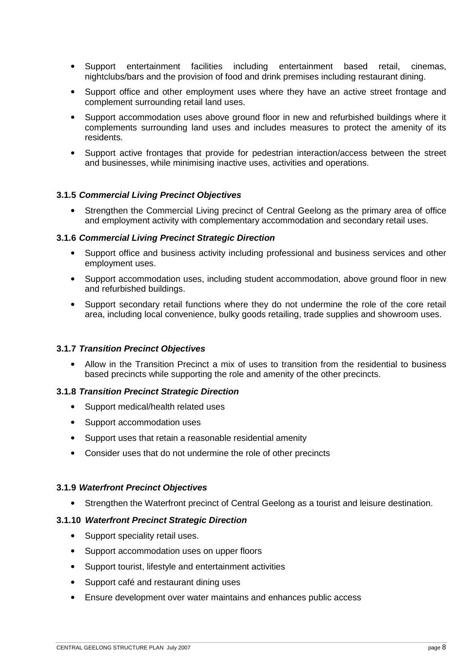- Support entertainment facilities including entertainment based retail, cinemas, nightclubs/bars and the provision of food and drink premises including restaurant dining.
- Support office and other employment uses where they have an active street frontage and complement surrounding retail land uses.
- Support accommodation uses above ground floor in new and refurbished buildings where it complements surrounding land uses and includes measures to protect the amenity of its residents.
- Support active frontages that provide for pedestrian interaction/access between the street and businesses, while minimising inactive uses, activities and operations.

#### **3.1.5** *Commercial Living Precinct Objectives*

• Strengthen the Commercial Living precinct of Central Geelong as the primary area of office and employment activity with complementary accommodation and secondary retail uses.

#### **3.1.6** *Commercial Living Precinct Strategic Direction*

- Support office and business activity including professional and business services and other employment uses.
- Support accommodation uses, including student accommodation, above ground floor in new and refurbished buildings.
- Support secondary retail functions where they do not undermine the role of the core retail area, including local convenience, bulky goods retailing, trade supplies and showroom uses.

#### **3.1.7** *Transition Precinct Objectives*

• Allow in the Transition Precinct a mix of uses to transition from the residential to business based precincts while supporting the role and amenity of the other precincts.

#### **3.1.8** *Transition Precinct Strategic Direction*

- Support medical/health related uses
- Support accommodation uses
- Support uses that retain a reasonable residential amenity
- Consider uses that do not undermine the role of other precincts

#### **3.1.9** *Waterfront Precinct Objectives*

• Strengthen the Waterfront precinct of Central Geelong as a tourist and leisure destination.

#### **3.1.10** *Waterfront Precinct Strategic Direction*

- Support speciality retail uses.
- Support accommodation uses on upper floors
- Support tourist, lifestyle and entertainment activities
- Support café and restaurant dining uses
- Ensure development over water maintains and enhances public access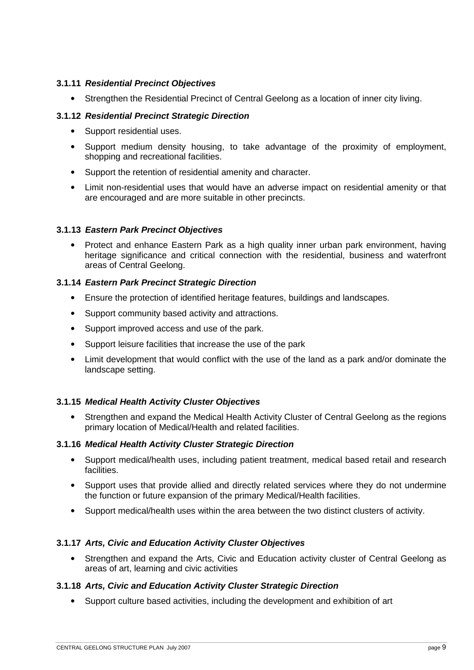### **3.1.11** *Residential Precinct Objectives*

• Strengthen the Residential Precinct of Central Geelong as a location of inner city living.

#### **3.1.12** *Residential Precinct Strategic Direction*

- Support residential uses.
- Support medium density housing, to take advantage of the proximity of employment, shopping and recreational facilities.
- Support the retention of residential amenity and character.
- Limit non-residential uses that would have an adverse impact on residential amenity or that are encouraged and are more suitable in other precincts.

### **3.1.13** *Eastern Park Precinct Objectives*

• Protect and enhance Eastern Park as a high quality inner urban park environment, having heritage significance and critical connection with the residential, business and waterfront areas of Central Geelong.

### **3.1.14** *Eastern Park Precinct Strategic Direction*

- Ensure the protection of identified heritage features, buildings and landscapes.
- Support community based activity and attractions.
- Support improved access and use of the park.
- Support leisure facilities that increase the use of the park
- Limit development that would conflict with the use of the land as a park and/or dominate the landscape setting.

#### **3.1.15** *Medical Health Activity Cluster Objectives*

• Strengthen and expand the Medical Health Activity Cluster of Central Geelong as the regions primary location of Medical/Health and related facilities.

#### **3.1.16** *Medical Health Activity Cluster Strategic Direction*

- Support medical/health uses, including patient treatment, medical based retail and research facilities.
- Support uses that provide allied and directly related services where they do not undermine the function or future expansion of the primary Medical/Health facilities.
- Support medical/health uses within the area between the two distinct clusters of activity.

#### **3.1.17** *Arts, Civic and Education Activity Cluster Objectives*

• Strengthen and expand the Arts, Civic and Education activity cluster of Central Geelong as areas of art, learning and civic activities

#### **3.1.18** *Arts, Civic and Education Activity Cluster Strategic Direction*

• Support culture based activities, including the development and exhibition of art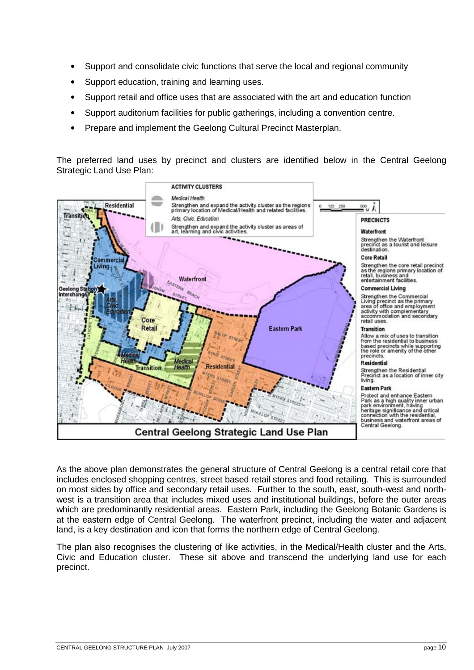- Support and consolidate civic functions that serve the local and regional community
- Support education, training and learning uses.
- Support retail and office uses that are associated with the art and education function
- Support auditorium facilities for public gatherings, including a convention centre.
- Prepare and implement the Geelong Cultural Precinct Masterplan.

The preferred land uses by precinct and clusters are identified below in the Central Geelong Strategic Land Use Plan:



As the above plan demonstrates the general structure of Central Geelong is a central retail core that includes enclosed shopping centres, street based retail stores and food retailing. This is surrounded on most sides by office and secondary retail uses. Further to the south, east, south-west and northwest is a transition area that includes mixed uses and institutional buildings, before the outer areas which are predominantly residential areas. Eastern Park, including the Geelong Botanic Gardens is at the eastern edge of Central Geelong. The waterfront precinct, including the water and adjacent land, is a key destination and icon that forms the northern edge of Central Geelong.

The plan also recognises the clustering of like activities, in the Medical/Health cluster and the Arts, Civic and Education cluster. These sit above and transcend the underlying land use for each precinct.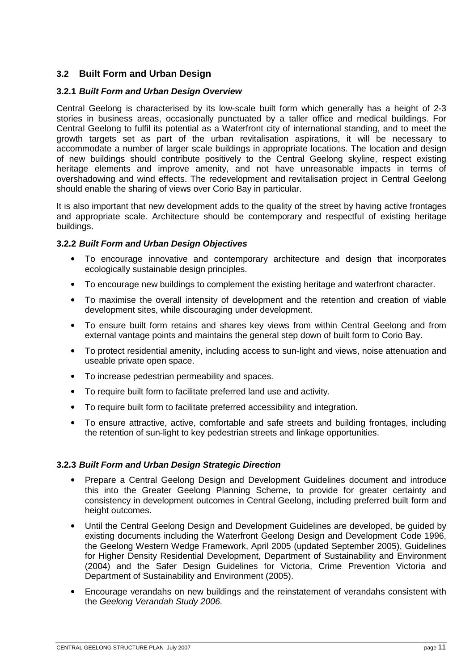## **3.2 Built Form and Urban Design**

#### **3.2.1** *Built Form and Urban Design Overview*

Central Geelong is characterised by its low-scale built form which generally has a height of 2-3 stories in business areas, occasionally punctuated by a taller office and medical buildings. For Central Geelong to fulfil its potential as a Waterfront city of international standing, and to meet the growth targets set as part of the urban revitalisation aspirations, it will be necessary to accommodate a number of larger scale buildings in appropriate locations. The location and design of new buildings should contribute positively to the Central Geelong skyline, respect existing heritage elements and improve amenity, and not have unreasonable impacts in terms of overshadowing and wind effects. The redevelopment and revitalisation project in Central Geelong should enable the sharing of views over Corio Bay in particular.

It is also important that new development adds to the quality of the street by having active frontages and appropriate scale. Architecture should be contemporary and respectful of existing heritage buildings.

#### **3.2.2** *Built Form and Urban Design Objectives*

- To encourage innovative and contemporary architecture and design that incorporates ecologically sustainable design principles.
- To encourage new buildings to complement the existing heritage and waterfront character.
- To maximise the overall intensity of development and the retention and creation of viable development sites, while discouraging under development.
- To ensure built form retains and shares key views from within Central Geelong and from external vantage points and maintains the general step down of built form to Corio Bay.
- To protect residential amenity, including access to sun-light and views, noise attenuation and useable private open space.
- To increase pedestrian permeability and spaces.
- To require built form to facilitate preferred land use and activity.
- To require built form to facilitate preferred accessibility and integration.
- To ensure attractive, active, comfortable and safe streets and building frontages, including the retention of sun-light to key pedestrian streets and linkage opportunities.

#### **3.2.3** *Built Form and Urban Design Strategic Direction*

- Prepare a Central Geelong Design and Development Guidelines document and introduce this into the Greater Geelong Planning Scheme, to provide for greater certainty and consistency in development outcomes in Central Geelong, including preferred built form and height outcomes.
- Until the Central Geelong Design and Development Guidelines are developed, be guided by existing documents including the Waterfront Geelong Design and Development Code 1996, the Geelong Western Wedge Framework, April 2005 (updated September 2005), Guidelines for Higher Density Residential Development, Department of Sustainability and Environment (2004) and the Safer Design Guidelines for Victoria, Crime Prevention Victoria and Department of Sustainability and Environment (2005).
- Encourage verandahs on new buildings and the reinstatement of verandahs consistent with the *Geelong Verandah Study 2006*.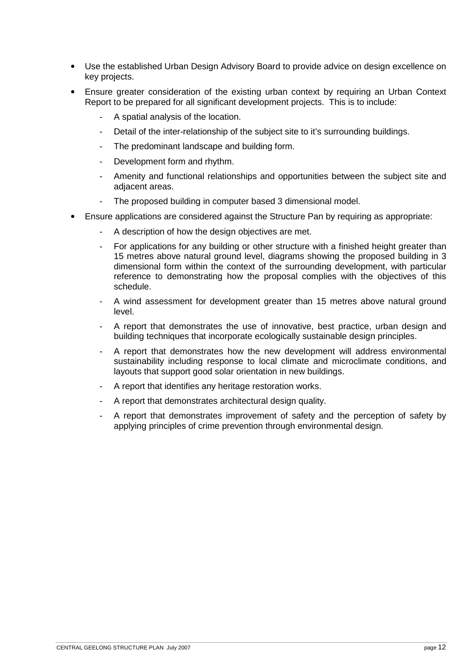- Use the established Urban Design Advisory Board to provide advice on design excellence on key projects.
- Ensure greater consideration of the existing urban context by requiring an Urban Context Report to be prepared for all significant development projects. This is to include:
	- A spatial analysis of the location.
	- Detail of the inter-relationship of the subject site to it's surrounding buildings.
	- The predominant landscape and building form.
	- Development form and rhythm.
	- Amenity and functional relationships and opportunities between the subject site and adjacent areas.
	- The proposed building in computer based 3 dimensional model.
- Ensure applications are considered against the Structure Pan by requiring as appropriate:
	- A description of how the design objectives are met.
	- For applications for any building or other structure with a finished height greater than 15 metres above natural ground level, diagrams showing the proposed building in 3 dimensional form within the context of the surrounding development, with particular reference to demonstrating how the proposal complies with the objectives of this schedule.
	- A wind assessment for development greater than 15 metres above natural ground level.
	- A report that demonstrates the use of innovative, best practice, urban design and building techniques that incorporate ecologically sustainable design principles.
	- A report that demonstrates how the new development will address environmental sustainability including response to local climate and microclimate conditions, and layouts that support good solar orientation in new buildings.
	- A report that identifies any heritage restoration works.
	- A report that demonstrates architectural design quality.
	- A report that demonstrates improvement of safety and the perception of safety by applying principles of crime prevention through environmental design.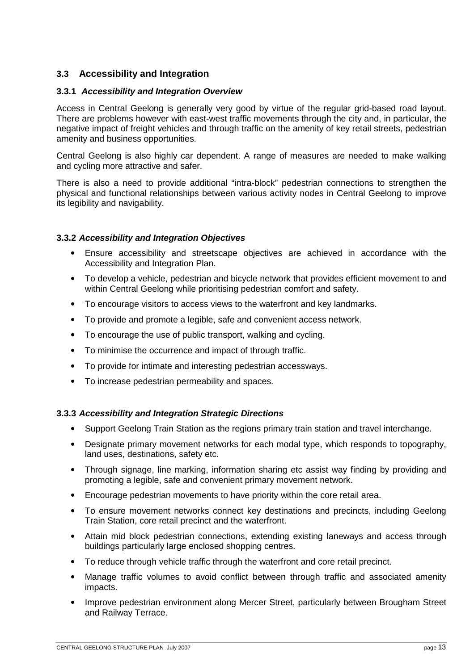## **3.3 Accessibility and Integration**

#### **3.3.1** *Accessibility and Integration Overview*

Access in Central Geelong is generally very good by virtue of the regular grid-based road layout. There are problems however with east-west traffic movements through the city and, in particular, the negative impact of freight vehicles and through traffic on the amenity of key retail streets, pedestrian amenity and business opportunities.

Central Geelong is also highly car dependent. A range of measures are needed to make walking and cycling more attractive and safer.

There is also a need to provide additional "intra-block" pedestrian connections to strengthen the physical and functional relationships between various activity nodes in Central Geelong to improve its legibility and navigability.

#### **3.3.2** *Accessibility and Integration Objectives*

- Ensure accessibility and streetscape objectives are achieved in accordance with the Accessibility and Integration Plan.
- To develop a vehicle, pedestrian and bicycle network that provides efficient movement to and within Central Geelong while prioritising pedestrian comfort and safety.
- To encourage visitors to access views to the waterfront and key landmarks.
- To provide and promote a legible, safe and convenient access network.
- To encourage the use of public transport, walking and cycling.
- To minimise the occurrence and impact of through traffic.
- To provide for intimate and interesting pedestrian accessways.
- To increase pedestrian permeability and spaces.

#### **3.3.3** *Accessibility and Integration Strategic Directions*

- Support Geelong Train Station as the regions primary train station and travel interchange.
- Designate primary movement networks for each modal type, which responds to topography, land uses, destinations, safety etc.
- Through signage, line marking, information sharing etc assist way finding by providing and promoting a legible, safe and convenient primary movement network.
- Encourage pedestrian movements to have priority within the core retail area.
- To ensure movement networks connect key destinations and precincts, including Geelong Train Station, core retail precinct and the waterfront.
- Attain mid block pedestrian connections, extending existing laneways and access through buildings particularly large enclosed shopping centres.
- To reduce through vehicle traffic through the waterfront and core retail precinct.
- Manage traffic volumes to avoid conflict between through traffic and associated amenity impacts.
- Improve pedestrian environment along Mercer Street, particularly between Brougham Street and Railway Terrace.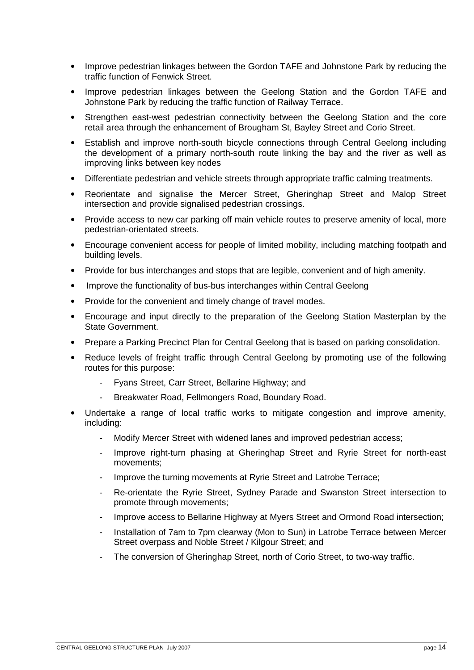- Improve pedestrian linkages between the Gordon TAFE and Johnstone Park by reducing the traffic function of Fenwick Street.
- Improve pedestrian linkages between the Geelong Station and the Gordon TAFE and Johnstone Park by reducing the traffic function of Railway Terrace.
- Strengthen east-west pedestrian connectivity between the Geelong Station and the core retail area through the enhancement of Brougham St, Bayley Street and Corio Street.
- Establish and improve north-south bicycle connections through Central Geelong including the development of a primary north-south route linking the bay and the river as well as improving links between key nodes
- Differentiate pedestrian and vehicle streets through appropriate traffic calming treatments.
- Reorientate and signalise the Mercer Street, Gheringhap Street and Malop Street intersection and provide signalised pedestrian crossings.
- Provide access to new car parking off main vehicle routes to preserve amenity of local, more pedestrian-orientated streets.
- Encourage convenient access for people of limited mobility, including matching footpath and building levels.
- Provide for bus interchanges and stops that are legible, convenient and of high amenity.
- Improve the functionality of bus-bus interchanges within Central Geelong
- Provide for the convenient and timely change of travel modes.
- Encourage and input directly to the preparation of the Geelong Station Masterplan by the State Government.
- Prepare a Parking Precinct Plan for Central Geelong that is based on parking consolidation.
- Reduce levels of freight traffic through Central Geelong by promoting use of the following routes for this purpose:
	- Fyans Street, Carr Street, Bellarine Highway; and
	- Breakwater Road, Fellmongers Road, Boundary Road.
- Undertake a range of local traffic works to mitigate congestion and improve amenity, including:
	- Modify Mercer Street with widened lanes and improved pedestrian access;
	- Improve right-turn phasing at Gheringhap Street and Ryrie Street for north-east movements;
	- Improve the turning movements at Ryrie Street and Latrobe Terrace;
	- Re-orientate the Ryrie Street, Sydney Parade and Swanston Street intersection to promote through movements;
	- Improve access to Bellarine Highway at Myers Street and Ormond Road intersection;
	- Installation of 7am to 7pm clearway (Mon to Sun) in Latrobe Terrace between Mercer Street overpass and Noble Street / Kilgour Street; and
	- The conversion of Gheringhap Street, north of Corio Street, to two-way traffic.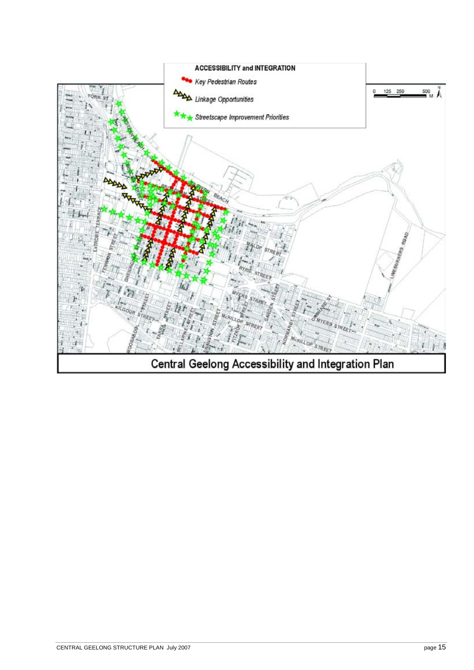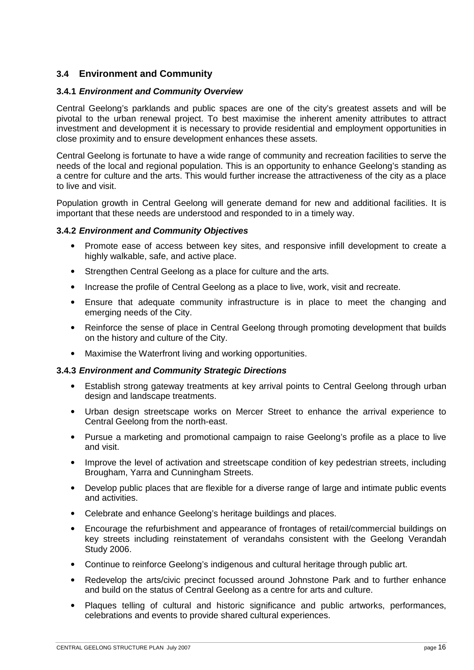## **3.4 Environment and Community**

#### **3.4.1** *Environment and Community Overview*

Central Geelong's parklands and public spaces are one of the city's greatest assets and will be pivotal to the urban renewal project. To best maximise the inherent amenity attributes to attract investment and development it is necessary to provide residential and employment opportunities in close proximity and to ensure development enhances these assets.

Central Geelong is fortunate to have a wide range of community and recreation facilities to serve the needs of the local and regional population. This is an opportunity to enhance Geelong's standing as a centre for culture and the arts. This would further increase the attractiveness of the city as a place to live and visit.

Population growth in Central Geelong will generate demand for new and additional facilities. It is important that these needs are understood and responded to in a timely way.

#### **3.4.2** *Environment and Community Objectives*

- Promote ease of access between key sites, and responsive infill development to create a highly walkable, safe, and active place.
- Strengthen Central Geelong as a place for culture and the arts.
- Increase the profile of Central Geelong as a place to live, work, visit and recreate.
- Ensure that adequate community infrastructure is in place to meet the changing and emerging needs of the City.
- Reinforce the sense of place in Central Geelong through promoting development that builds on the history and culture of the City.
- Maximise the Waterfront living and working opportunities.

#### **3.4.3** *Environment and Community Strategic Directions*

- Establish strong gateway treatments at key arrival points to Central Geelong through urban design and landscape treatments.
- Urban design streetscape works on Mercer Street to enhance the arrival experience to Central Geelong from the north-east.
- Pursue a marketing and promotional campaign to raise Geelong's profile as a place to live and visit.
- Improve the level of activation and streetscape condition of key pedestrian streets, including Brougham, Yarra and Cunningham Streets.
- Develop public places that are flexible for a diverse range of large and intimate public events and activities.
- Celebrate and enhance Geelong's heritage buildings and places.
- Encourage the refurbishment and appearance of frontages of retail/commercial buildings on key streets including reinstatement of verandahs consistent with the Geelong Verandah Study 2006.
- Continue to reinforce Geelong's indigenous and cultural heritage through public art.
- Redevelop the arts/civic precinct focussed around Johnstone Park and to further enhance and build on the status of Central Geelong as a centre for arts and culture.
- Plaques telling of cultural and historic significance and public artworks, performances, celebrations and events to provide shared cultural experiences.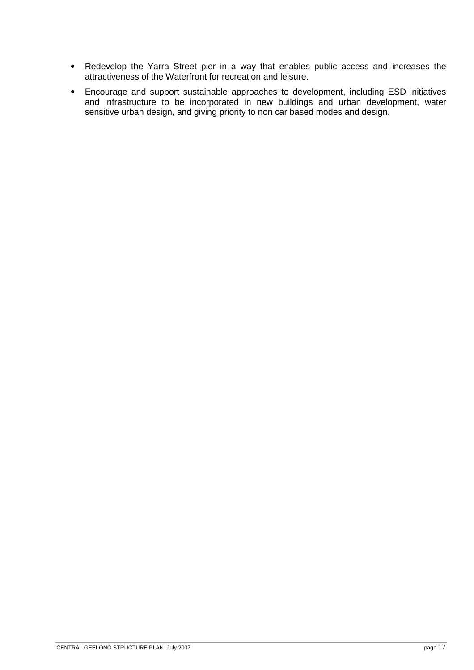- Redevelop the Yarra Street pier in a way that enables public access and increases the attractiveness of the Waterfront for recreation and leisure.
- Encourage and support sustainable approaches to development, including ESD initiatives and infrastructure to be incorporated in new buildings and urban development, water sensitive urban design, and giving priority to non car based modes and design.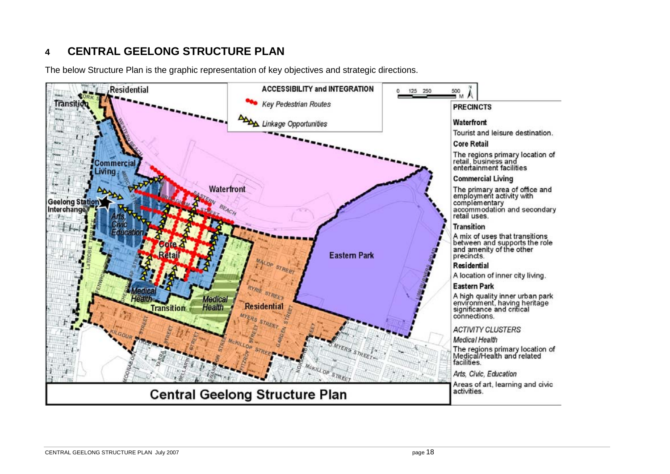## **4 CENTRAL GEELONG STRUCTURE PLAN**

The below Structure Plan is the graphic representation of key objectives and strategic directions.

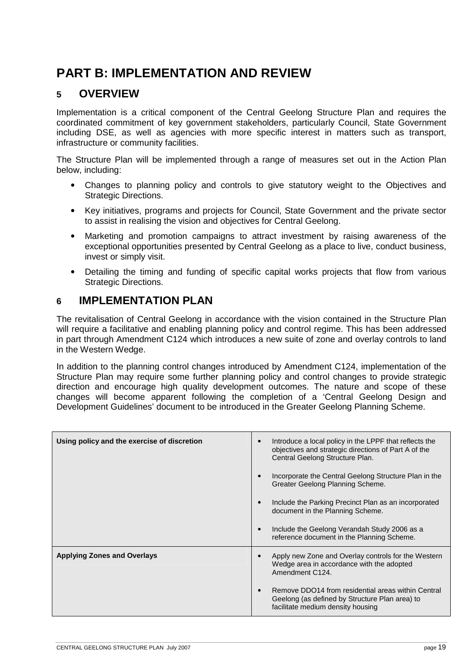# **PART B: IMPLEMENTATION AND REVIEW**

## **5 OVERVIEW**

Implementation is a critical component of the Central Geelong Structure Plan and requires the coordinated commitment of key government stakeholders, particularly Council, State Government including DSE, as well as agencies with more specific interest in matters such as transport, infrastructure or community facilities.

The Structure Plan will be implemented through a range of measures set out in the Action Plan below, including:

- Changes to planning policy and controls to give statutory weight to the Objectives and Strategic Directions.
- Key initiatives, programs and projects for Council, State Government and the private sector to assist in realising the vision and objectives for Central Geelong.
- Marketing and promotion campaigns to attract investment by raising awareness of the exceptional opportunities presented by Central Geelong as a place to live, conduct business, invest or simply visit.
- Detailing the timing and funding of specific capital works projects that flow from various Strategic Directions.

## **6 IMPLEMENTATION PLAN**

The revitalisation of Central Geelong in accordance with the vision contained in the Structure Plan will require a facilitative and enabling planning policy and control regime. This has been addressed in part through Amendment C124 which introduces a new suite of zone and overlay controls to land in the Western Wedge.

In addition to the planning control changes introduced by Amendment C124, implementation of the Structure Plan may require some further planning policy and control changes to provide strategic direction and encourage high quality development outcomes. The nature and scope of these changes will become apparent following the completion of a 'Central Geelong Design and Development Guidelines' document to be introduced in the Greater Geelong Planning Scheme.

| Using policy and the exercise of discretion | Introduce a local policy in the LPPF that reflects the<br>objectives and strategic directions of Part A of the<br>Central Geelong Structure Plan. |  |
|---------------------------------------------|---------------------------------------------------------------------------------------------------------------------------------------------------|--|
|                                             | Incorporate the Central Geelong Structure Plan in the<br>Greater Geelong Planning Scheme.                                                         |  |
|                                             | Include the Parking Precinct Plan as an incorporated<br>document in the Planning Scheme.                                                          |  |
|                                             | Include the Geelong Verandah Study 2006 as a<br>reference document in the Planning Scheme.                                                        |  |
| <b>Applying Zones and Overlays</b>          | Apply new Zone and Overlay controls for the Western<br>Wedge area in accordance with the adopted<br>Amendment C124.                               |  |
|                                             | Remove DDO14 from residential areas within Central<br>Geelong (as defined by Structure Plan area) to<br>facilitate medium density housing         |  |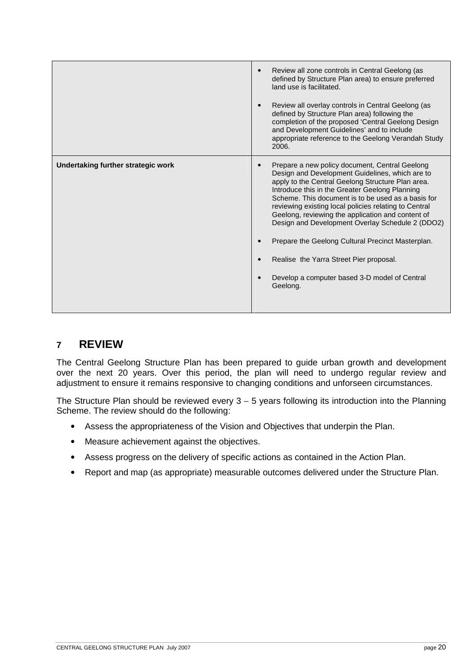|                                    | Review all zone controls in Central Geelong (as<br>defined by Structure Plan area) to ensure preferred<br>land use is facilitated.<br>Review all overlay controls in Central Geelong (as<br>defined by Structure Plan area) following the<br>completion of the proposed 'Central Geelong Design<br>and Development Guidelines' and to include<br>appropriate reference to the Geelong Verandah Study<br>2006.                                                                                                                                                                                 |
|------------------------------------|-----------------------------------------------------------------------------------------------------------------------------------------------------------------------------------------------------------------------------------------------------------------------------------------------------------------------------------------------------------------------------------------------------------------------------------------------------------------------------------------------------------------------------------------------------------------------------------------------|
| Undertaking further strategic work | Prepare a new policy document, Central Geelong<br>Design and Development Guidelines, which are to<br>apply to the Central Geelong Structure Plan area.<br>Introduce this in the Greater Geelong Planning<br>Scheme. This document is to be used as a basis for<br>reviewing existing local policies relating to Central<br>Geelong, reviewing the application and content of<br>Design and Development Overlay Schedule 2 (DDO2)<br>Prepare the Geelong Cultural Precinct Masterplan.<br>Realise the Yarra Street Pier proposal.<br>Develop a computer based 3-D model of Central<br>Geelong. |

## **7 REVIEW**

The Central Geelong Structure Plan has been prepared to guide urban growth and development over the next 20 years. Over this period, the plan will need to undergo regular review and adjustment to ensure it remains responsive to changing conditions and unforseen circumstances.

The Structure Plan should be reviewed every 3 − 5 years following its introduction into the Planning Scheme. The review should do the following:

- Assess the appropriateness of the Vision and Objectives that underpin the Plan.
- Measure achievement against the objectives.
- Assess progress on the delivery of specific actions as contained in the Action Plan.
- Report and map (as appropriate) measurable outcomes delivered under the Structure Plan.